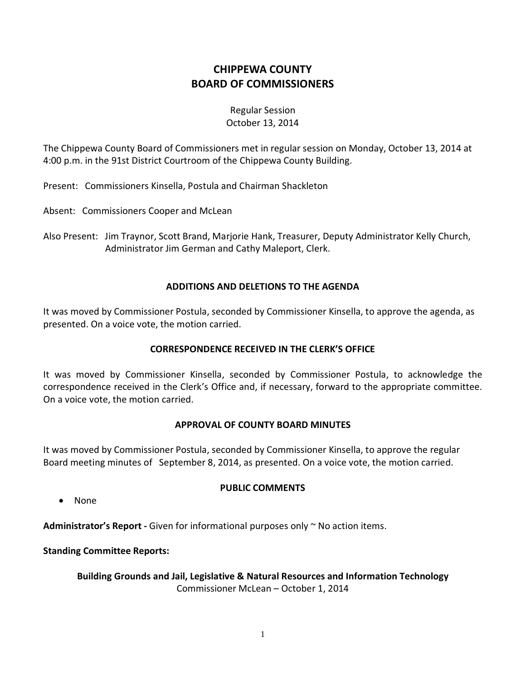# **CHIPPEWA COUNTY BOARD OF COMMISSIONERS**

## Regular Session October 13, 2014

The Chippewa County Board of Commissioners met in regular session on Monday, October 13, 2014 at 4:00 p.m. in the 91st District Courtroom of the Chippewa County Building.

Present: Commissioners Kinsella, Postula and Chairman Shackleton

Absent: Commissioners Cooper and McLean

Also Present: Jim Traynor, Scott Brand, Marjorie Hank, Treasurer, Deputy Administrator Kelly Church, Administrator Jim German and Cathy Maleport, Clerk.

### **ADDITIONS AND DELETIONS TO THE AGENDA**

It was moved by Commissioner Postula, seconded by Commissioner Kinsella, to approve the agenda, as presented. On a voice vote, the motion carried.

## **CORRESPONDENCE RECEIVED IN THE CLERK'S OFFICE**

It was moved by Commissioner Kinsella, seconded by Commissioner Postula, to acknowledge the correspondence received in the Clerk's Office and, if necessary, forward to the appropriate committee. On a voice vote, the motion carried.

### **APPROVAL OF COUNTY BOARD MINUTES**

It was moved by Commissioner Postula, seconded by Commissioner Kinsella, to approve the regular Board meeting minutes of September 8, 2014, as presented. On a voice vote, the motion carried.

· None

## **PUBLIC COMMENTS**

**Administrator's Report -** Given for informational purposes only ~ No action items.

**Standing Committee Reports:**

**Building Grounds and Jail, Legislative & Natural Resources and Information Technology** Commissioner McLean – October 1, 2014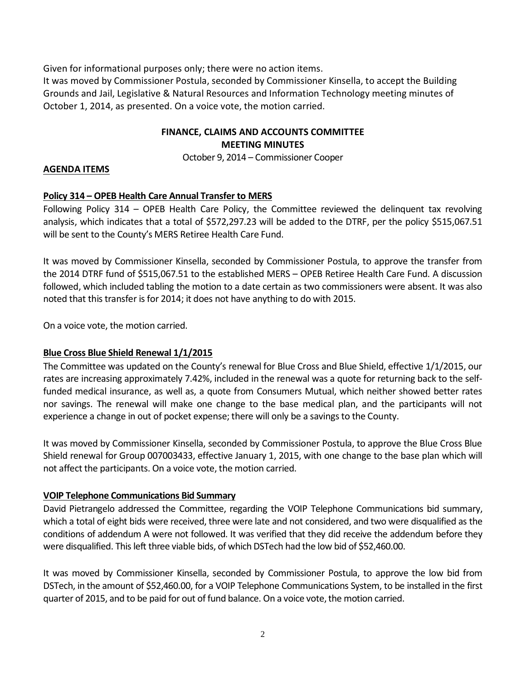Given for informational purposes only; there were no action items.

It was moved by Commissioner Postula, seconded by Commissioner Kinsella, to accept the Building Grounds and Jail, Legislative & Natural Resources and Information Technology meeting minutes of October 1, 2014, as presented. On a voice vote, the motion carried.

### **FINANCE, CLAIMS AND ACCOUNTS COMMITTEE MEETING MINUTES**

October 9, 2014 – Commissioner Cooper

## **AGENDA ITEMS**

## **Policy 314 – OPEB Health Care Annual Transfer to MERS**

Following Policy 314 – OPEB Health Care Policy, the Committee reviewed the delinquent tax revolving analysis, which indicates that a total of \$572,297.23 will be added to the DTRF, per the policy \$515,067.51 will be sent to the County's MERS Retiree Health Care Fund.

It was moved by Commissioner Kinsella, seconded by Commissioner Postula, to approve the transfer from the 2014 DTRF fund of \$515,067.51 to the established MERS – OPEB Retiree Health Care Fund. A discussion followed, which included tabling the motion to a date certain as two commissioners were absent. It was also noted that this transfer is for 2014; it does not have anything to do with 2015.

On a voice vote, the motion carried.

## **Blue Cross Blue Shield Renewal 1/1/2015**

The Committee was updated on the County's renewal for Blue Cross and Blue Shield, effective 1/1/2015, our rates are increasing approximately 7.42%, included in the renewal was a quote for returning back to the selffunded medical insurance, as well as, a quote from Consumers Mutual, which neither showed better rates nor savings. The renewal will make one change to the base medical plan, and the participants will not experience a change in out of pocket expense; there will only be a savings to the County.

It was moved by Commissioner Kinsella, seconded by Commissioner Postula, to approve the Blue Cross Blue Shield renewal for Group 007003433, effective January 1, 2015, with one change to the base plan which will not affect the participants. On a voice vote, the motion carried.

## **VOIP Telephone Communications Bid Summary**

David Pietrangelo addressed the Committee, regarding the VOIP Telephone Communications bid summary, which a total of eight bids were received, three were late and not considered, and two were disqualified as the conditions of addendum A were not followed. It was verified that they did receive the addendum before they were disqualified. This left three viable bids, of which DSTech had the low bid of \$52,460.00.

It was moved by Commissioner Kinsella, seconded by Commissioner Postula, to approve the low bid from DSTech, in the amount of \$52,460.00, for a VOIP Telephone Communications System, to be installed in the first quarter of 2015, and to be paid for out of fund balance. On a voice vote, the motion carried.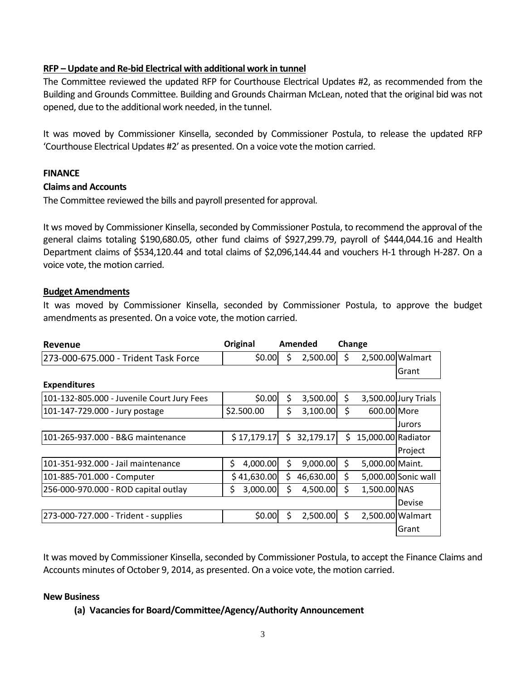### **RFP –Update and Re-bid Electrical with additional work in tunnel**

The Committee reviewed the updated RFP for Courthouse Electrical Updates #2, as recommended from the Building and Grounds Committee. Building and Grounds Chairman McLean, noted that the original bid was not opened, due to the additional work needed, in the tunnel.

It was moved by Commissioner Kinsella, seconded by Commissioner Postula, to release the updated RFP 'Courthouse Electrical Updates #2' as presented. On a voice vote the motion carried.

### **FINANCE**

### **Claims and Accounts**

The Committee reviewed the bills and payroll presented for approval.

It ws moved by Commissioner Kinsella, seconded by Commissioner Postula, to recommend the approval of the general claims totaling \$190,680.05, other fund claims of \$927,299.79, payroll of \$444,044.16 and Health Department claims of \$534,120.44 and total claims of \$2,096,144.44 and vouchers H-1 through H-287. On a voice vote, the motion carried.

### **Budget Amendments**

It was moved by Commissioner Kinsella, seconded by Commissioner Postula, to approve the budget amendments as presented. On a voice vote, the motion carried.

| <b>Revenue</b>                             | Original       | Amended |           | Change |                    |                      |
|--------------------------------------------|----------------|---------|-----------|--------|--------------------|----------------------|
| 273-000-675.000 - Trident Task Force       | \$0.00         | \$      | 2,500.00  | \$     | 2,500.00 Walmart   |                      |
|                                            |                |         |           |        |                    | Grant                |
| <b>Expenditures</b>                        |                |         |           |        |                    |                      |
| 101-132-805.000 - Juvenile Court Jury Fees | \$0.00         | \$      | 3,500.00  | \$     |                    | 3,500.00 Jury Trials |
| 101-147-729.000 - Jury postage             | \$2.500.00     | \$      | 3,100.00  | \$     | 600.00 More        |                      |
|                                            |                |         |           |        |                    | Jurors               |
| 101-265-937.000 - B&G maintenance          | \$17,179.17    | \$      | 32,179.17 | \$     | 15,000.00 Radiator |                      |
|                                            |                |         |           |        |                    | Project              |
| 101-351-932.000 - Jail maintenance         | \$<br>4,000.00 | \$      | 9,000.00  | \$     | 5,000.00 Maint.    |                      |
| 101-885-701.000 - Computer                 | \$41,630.00    | \$      | 46,630.00 | \$     |                    | 5,000.00 Sonic wall  |
| 256-000-970.000 - ROD capital outlay       | \$<br>3,000.00 | \$      | 4,500.00  | Ś.     | 1,500.00 NAS       |                      |
|                                            |                |         |           |        |                    | Devise               |
| 273-000-727.000 - Trident - supplies       | \$0.00         | Ś       | 2,500.00  | \$     |                    | 2,500.00 Walmart     |
|                                            |                |         |           |        |                    | Grant                |

It was moved by Commissioner Kinsella, seconded by Commissioner Postula, to accept the Finance Claims and Accounts minutes of October 9, 2014, as presented. On a voice vote, the motion carried.

### **New Business**

### **(a) Vacancies for Board/Committee/Agency/Authority Announcement**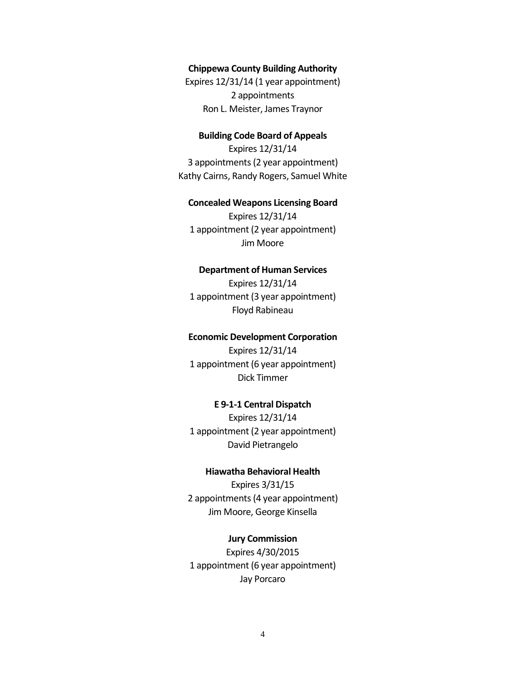#### **Chippewa County Building Authority**

Expires 12/31/14 (1 year appointment) 2 appointments Ron L. Meister, James Traynor

#### **Building Code Board of Appeals**

Expires 12/31/14 3 appointments(2 year appointment) Kathy Cairns, Randy Rogers, Samuel White

#### **Concealed Weapons Licensing Board**

Expires 12/31/14 1 appointment (2 year appointment) Jim Moore

#### **Department of Human Services**

Expires 12/31/14 1 appointment (3 year appointment) Floyd Rabineau

#### **Economic Development Corporation**

Expires 12/31/14 1 appointment (6 year appointment) Dick Timmer

#### **E 9-1-1 Central Dispatch**

Expires 12/31/14 1 appointment (2 year appointment) David Pietrangelo

#### **Hiawatha Behavioral Health**

Expires 3/31/15 2 appointments (4 year appointment) Jim Moore, George Kinsella

#### **Jury Commission**

Expires 4/30/2015 1 appointment (6 year appointment) Jay Porcaro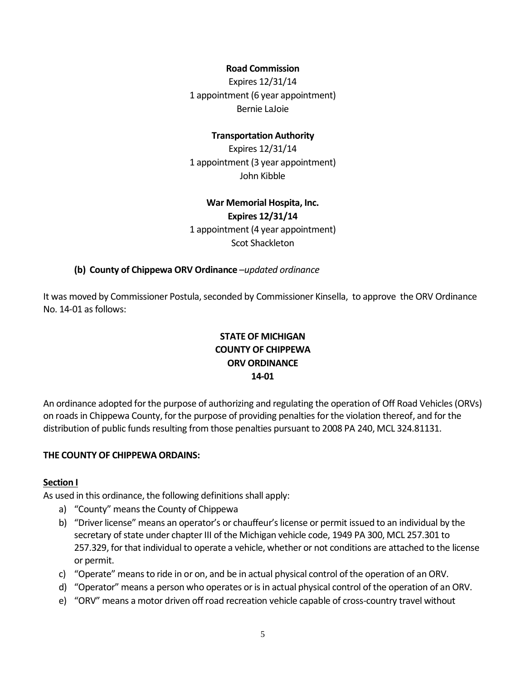### **Road Commission**

Expires 12/31/14 1 appointment (6 year appointment) Bernie LaJoie

#### **Transportation Authority**

Expires 12/31/14 1 appointment (3 year appointment) John Kibble

### **War Memorial Hospita, Inc. Expires 12/31/14**

1 appointment (4 year appointment) Scot Shackleton

#### **(b) County of Chippewa ORV Ordinance** –*updated ordinance*

It was moved by Commissioner Postula, seconded by Commissioner Kinsella, to approve the ORV Ordinance No. 14-01 as follows:

## **STATE OF MICHIGAN COUNTY OF CHIPPEWA ORV ORDINANCE 14-01**

An ordinance adopted for the purpose of authorizing and regulating the operation of Off Road Vehicles (ORVs) on roads in Chippewa County, for the purpose of providing penalties for the violation thereof, and for the distribution of public funds resulting from those penalties pursuant to 2008 PA 240, MCL 324.81131.

### **THE COUNTY OF CHIPPEWA ORDAINS:**

#### **Section I**

As used in this ordinance, the following definitions shall apply:

- a) "County" means the County of Chippewa
- b) "Driver license" means an operator's or chauffeur's license or permit issued to an individual by the secretary of state under chapter III of the Michigan vehicle code, 1949 PA 300, MCL 257.301 to 257.329, for that individual to operate a vehicle, whether or not conditions are attached to the license or permit.
- c) "Operate" means to ride in or on, and be in actual physical control of the operation of an ORV.
- d) "Operator" means a person who operates or is in actual physical control of the operation of an ORV.
- e) "ORV" means a motor driven off road recreation vehicle capable of cross-country travel without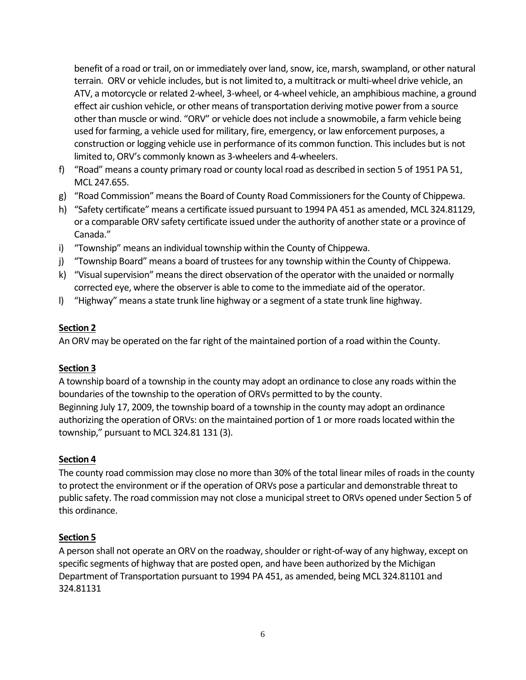benefit of a road or trail, on or immediately over land, snow, ice, marsh, swampland, or other natural terrain. ORV or vehicle includes, but is not limited to, a multitrack or multi-wheel drive vehicle, an ATV, a motorcycle or related 2-wheel, 3-wheel, or 4-wheel vehicle, an amphibious machine, a ground effect air cushion vehicle, or other means of transportation deriving motive power from a source other than muscle or wind. "ORV" or vehicle does not include a snowmobile, a farm vehicle being used for farming, a vehicle used for military, fire, emergency, or law enforcement purposes, a construction or logging vehicle use in performance of its common function. This includes but is not limited to, ORV's commonly known as 3-wheelers and 4-wheelers.

- f) "Road" means a county primary road or county local road as described in section 5 of 1951 PA 51, MCL 247.655.
- g) "Road Commission" means the Board of County Road Commissioners for the County of Chippewa.
- h) "Safety certificate" means a certificate issued pursuant to 1994 PA 451 as amended, MCL 324.81129, or a comparable ORV safety certificate issued under the authority of another state or a province of Canada."
- i) "Township" means an individual township within the County of Chippewa.
- j) "Township Board" means a board of trustees for any township within the County of Chippewa.
- k) "Visual supervision" means the direct observation of the operator with the unaided or normally corrected eye, where the observer is able to come to the immediate aid of the operator.
- l) "Highway" means a state trunk line highway or a segment of a state trunk line highway.

### **Section 2**

An ORV may be operated on the far right of the maintained portion of a road within the County.

## **Section 3**

A township board of a township in the county may adopt an ordinance to close any roads within the boundaries of the township to the operation of ORVs permitted to by the county. Beginning July 17, 2009, the township board of a township in the county may adopt an ordinance authorizing the operation of ORVs: on the maintained portion of 1 or more roads located within the township," pursuant to MCL 324.81 131 (3).

## **Section 4**

The county road commission may close no more than 30% of the total linear miles of roads in the county to protect the environment or if the operation of ORVs pose a particular and demonstrable threat to public safety. The road commission may not close a municipal street to ORVs opened under Section 5 of this ordinance.

## **Section 5**

A person shall not operate an ORV on the roadway, shoulder or right-of-way of any highway, except on specific segments of highway that are posted open, and have been authorized by the Michigan Department of Transportation pursuant to 1994 PA 451, as amended, being MCL 324.81101 and 324.81131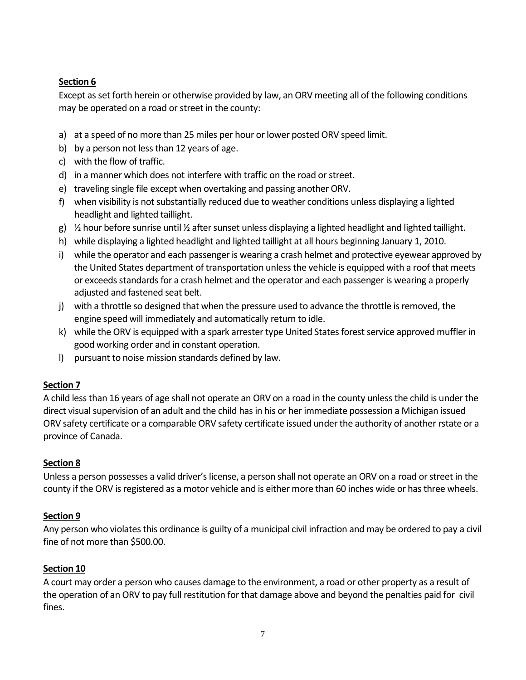## **Section 6**

Except as set forth herein or otherwise provided by law, an ORV meeting all of the following conditions may be operated on a road or street in the county:

- a) at a speed of no more than 25 miles per hour or lower posted ORV speed limit.
- b) by a person not less than 12 years of age.
- c) with the flow of traffic.
- d) in a manner which does not interfere with traffic on the road or street.
- e) traveling single file except when overtaking and passing another ORV.
- f) when visibility is not substantially reduced due to weather conditions unless displaying a lighted headlight and lighted taillight.
- g)  $\frac{1}{2}$  hour before sunrise until  $\frac{1}{2}$  after sunset unless displaying a lighted headlight and lighted taillight.
- h) while displaying a lighted headlight and lighted taillight at all hours beginning January 1, 2010.
- i) while the operator and each passenger is wearing a crash helmet and protective eyewear approved by the United States department of transportation unless the vehicle is equipped with a roof that meets or exceeds standards for a crash helmet and the operator and each passenger is wearing a properly adjusted and fastened seat belt.
- j) with a throttle so designed that when the pressure used to advance the throttle is removed, the engine speed will immediately and automatically return to idle.
- k) while the ORV is equipped with a spark arrester type United States forest service approved muffler in good working order and in constant operation.
- l) pursuant to noise mission standards defined by law.

## **Section 7**

A child less than 16 years of age shall not operate an ORV on a road in the county unless the child is under the direct visual supervision of an adult and the child has in his or her immediate possession a Michigan issued ORV safety certificate or a comparable ORV safety certificate issued under the authority of another rstate or a province of Canada.

## **Section 8**

Unless a person possesses a valid driver's license, a person shall not operate an ORV on a road or street in the county if the ORV is registered as a motor vehicle and is either more than 60 inches wide or has three wheels.

## **Section 9**

Any person who violates this ordinance is guilty of a municipal civil infraction and may be ordered to pay a civil fine of not more than \$500.00.

## **Section 10**

A court may order a person who causes damage to the environment, a road or other property as a result of the operation of an ORV to pay full restitution for that damage above and beyond the penalties paid for civil fines.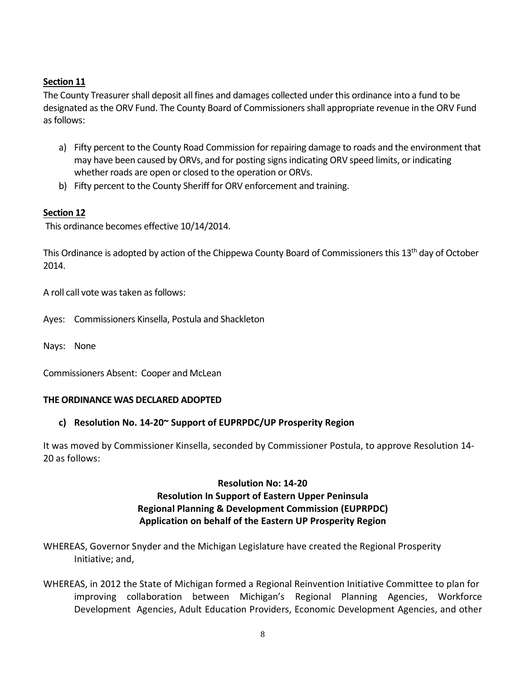## **Section 11**

The County Treasurer shall deposit all fines and damages collected under this ordinance into a fund to be designated as the ORV Fund. The County Board of Commissioners shall appropriate revenue in the ORV Fund as follows:

- a) Fifty percent to the County Road Commission for repairing damage to roads and the environment that may have been caused by ORVs, and for posting signsindicating ORV speed limits, or indicating whether roads are open or closed to the operation or ORVs.
- b) Fifty percent to the County Sheriff for ORV enforcement and training.

## **Section 12**

This ordinance becomes effective 10/14/2014.

This Ordinance is adopted by action of the Chippewa County Board of Commissioners this 13<sup>th</sup> day of October 2014.

A roll call vote was taken as follows:

Ayes: Commissioners Kinsella, Postula and Shackleton

Nays: None

Commissioners Absent: Cooper and McLean

### **THE ORDINANCE WAS DECLARED ADOPTED**

## **c) Resolution No. 14-20~ Support of EUPRPDC/UP Prosperity Region**

It was moved by Commissioner Kinsella, seconded by Commissioner Postula, to approve Resolution 14- 20 as follows:

## **Resolution No: 14-20 Resolution In Support of Eastern Upper Peninsula Regional Planning & Development Commission (EUPRPDC) Application on behalf of the Eastern UP Prosperity Region**

WHEREAS, Governor Snyder and the Michigan Legislature have created the Regional Prosperity Initiative; and,

WHEREAS, in 2012 the State of Michigan formed a Regional Reinvention Initiative Committee to plan for improving collaboration between Michigan's Regional Planning Agencies, Workforce Development Agencies, Adult Education Providers, Economic Development Agencies, and other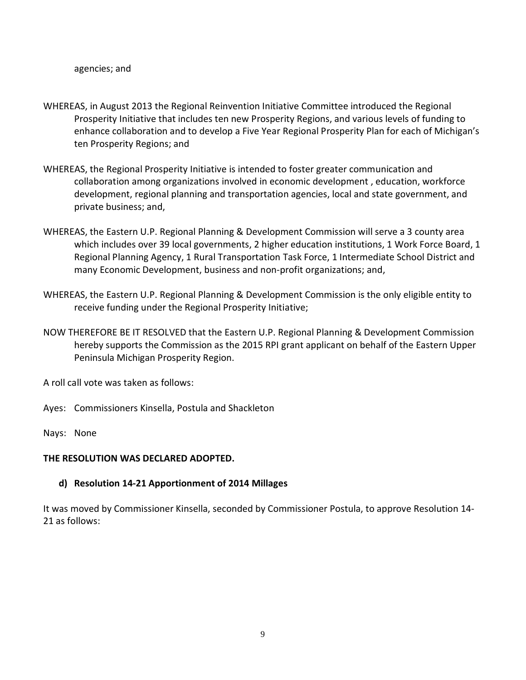- WHEREAS, in August 2013 the Regional Reinvention Initiative Committee introduced the Regional Prosperity Initiative that includes ten new Prosperity Regions, and various levels of funding to enhance collaboration and to develop a Five Year Regional Prosperity Plan for each of Michigan's ten Prosperity Regions; and
- WHEREAS, the Regional Prosperity Initiative is intended to foster greater communication and collaboration among organizations involved in economic development , education, workforce development, regional planning and transportation agencies, local and state government, and private business; and,
- WHEREAS, the Eastern U.P. Regional Planning & Development Commission will serve a 3 county area which includes over 39 local governments, 2 higher education institutions, 1 Work Force Board, 1 Regional Planning Agency, 1 Rural Transportation Task Force, 1 Intermediate School District and many Economic Development, business and non-profit organizations; and,
- WHEREAS, the Eastern U.P. Regional Planning & Development Commission is the only eligible entity to receive funding under the Regional Prosperity Initiative;
- NOW THEREFORE BE IT RESOLVED that the Eastern U.P. Regional Planning & Development Commission hereby supports the Commission as the 2015 RPI grant applicant on behalf of the Eastern Upper Peninsula Michigan Prosperity Region.

A roll call vote was taken as follows:

- Ayes: Commissioners Kinsella, Postula and Shackleton
- Nays: None

#### **THE RESOLUTION WAS DECLARED ADOPTED.**

#### **d) Resolution 14-21 Apportionment of 2014 Millages**

It was moved by Commissioner Kinsella, seconded by Commissioner Postula, to approve Resolution 14- 21 as follows: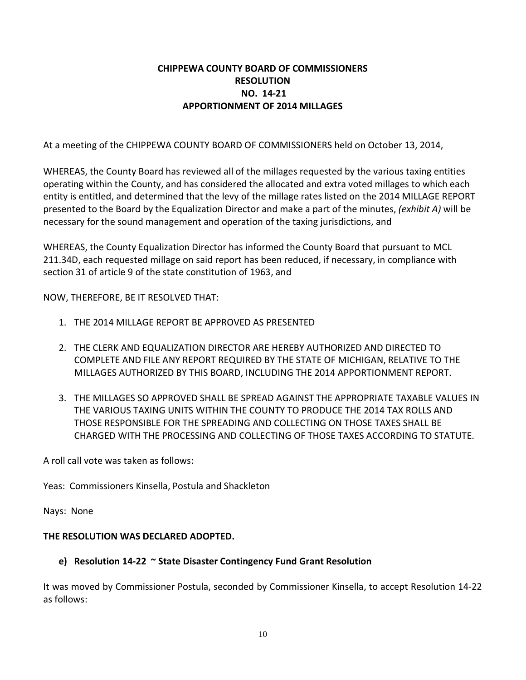## **CHIPPEWA COUNTY BOARD OF COMMISSIONERS RESOLUTION NO. 14-21 APPORTIONMENT OF 2014 MILLAGES**

At a meeting of the CHIPPEWA COUNTY BOARD OF COMMISSIONERS held on October 13, 2014,

WHEREAS, the County Board has reviewed all of the millages requested by the various taxing entities operating within the County, and has considered the allocated and extra voted millages to which each entity is entitled, and determined that the levy of the millage rates listed on the 2014 MILLAGE REPORT presented to the Board by the Equalization Director and make a part of the minutes, *(exhibit A)* will be necessary for the sound management and operation of the taxing jurisdictions, and

WHEREAS, the County Equalization Director has informed the County Board that pursuant to MCL 211.34D, each requested millage on said report has been reduced, if necessary, in compliance with section 31 of article 9 of the state constitution of 1963, and

NOW, THEREFORE, BE IT RESOLVED THAT:

- 1. THE 2014 MILLAGE REPORT BE APPROVED AS PRESENTED
- 2. THE CLERK AND EQUALIZATION DIRECTOR ARE HEREBY AUTHORIZED AND DIRECTED TO COMPLETE AND FILE ANY REPORT REQUIRED BY THE STATE OF MICHIGAN, RELATIVE TO THE MILLAGES AUTHORIZED BY THIS BOARD, INCLUDING THE 2014 APPORTIONMENT REPORT.
- 3. THE MILLAGES SO APPROVED SHALL BE SPREAD AGAINST THE APPROPRIATE TAXABLE VALUES IN THE VARIOUS TAXING UNITS WITHIN THE COUNTY TO PRODUCE THE 2014 TAX ROLLS AND THOSE RESPONSIBLE FOR THE SPREADING AND COLLECTING ON THOSE TAXES SHALL BE CHARGED WITH THE PROCESSING AND COLLECTING OF THOSE TAXES ACCORDING TO STATUTE.

A roll call vote was taken as follows:

Yeas: Commissioners Kinsella, Postula and Shackleton

Nays: None

### **THE RESOLUTION WAS DECLARED ADOPTED.**

### **e) Resolution 14-22 ~ State Disaster Contingency Fund Grant Resolution**

It was moved by Commissioner Postula, seconded by Commissioner Kinsella, to accept Resolution 14-22 as follows: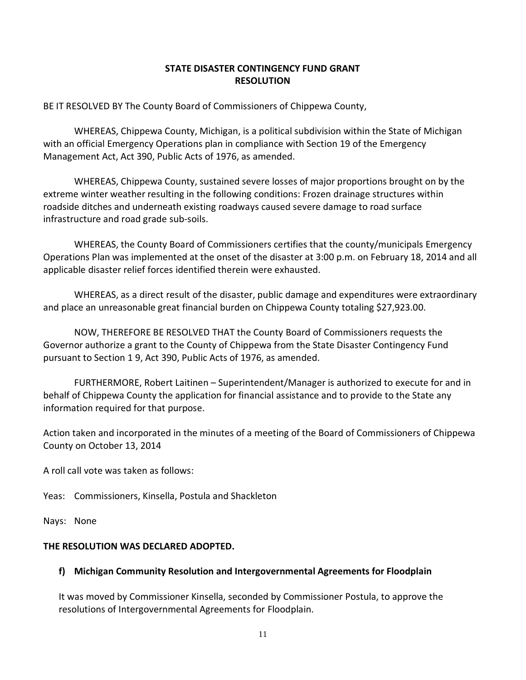## **STATE DISASTER CONTINGENCY FUND GRANT RESOLUTION**

BE IT RESOLVED BY The County Board of Commissioners of Chippewa County,

WHEREAS, Chippewa County, Michigan, is a political subdivision within the State of Michigan with an official Emergency Operations plan in compliance with Section 19 of the Emergency Management Act, Act 390, Public Acts of 1976, as amended.

WHEREAS, Chippewa County, sustained severe losses of major proportions brought on by the extreme winter weather resulting in the following conditions: Frozen drainage structures within roadside ditches and underneath existing roadways caused severe damage to road surface infrastructure and road grade sub-soils.

WHEREAS, the County Board of Commissioners certifies that the county/municipals Emergency Operations Plan was implemented at the onset of the disaster at 3:00 p.m. on February 18, 2014 and all applicable disaster relief forces identified therein were exhausted.

WHEREAS, as a direct result of the disaster, public damage and expenditures were extraordinary and place an unreasonable great financial burden on Chippewa County totaling \$27,923.00.

NOW, THEREFORE BE RESOLVED THAT the County Board of Commissioners requests the Governor authorize a grant to the County of Chippewa from the State Disaster Contingency Fund pursuant to Section 1 9, Act 390, Public Acts of 1976, as amended.

FURTHERMORE, Robert Laitinen – Superintendent/Manager is authorized to execute for and in behalf of Chippewa County the application for financial assistance and to provide to the State any information required for that purpose.

Action taken and incorporated in the minutes of a meeting of the Board of Commissioners of Chippewa County on October 13, 2014

A roll call vote was taken as follows:

Yeas: Commissioners, Kinsella, Postula and Shackleton

Nays: None

### **THE RESOLUTION WAS DECLARED ADOPTED.**

## **f) Michigan Community Resolution and Intergovernmental Agreements for Floodplain**

It was moved by Commissioner Kinsella, seconded by Commissioner Postula, to approve the resolutions of Intergovernmental Agreements for Floodplain.